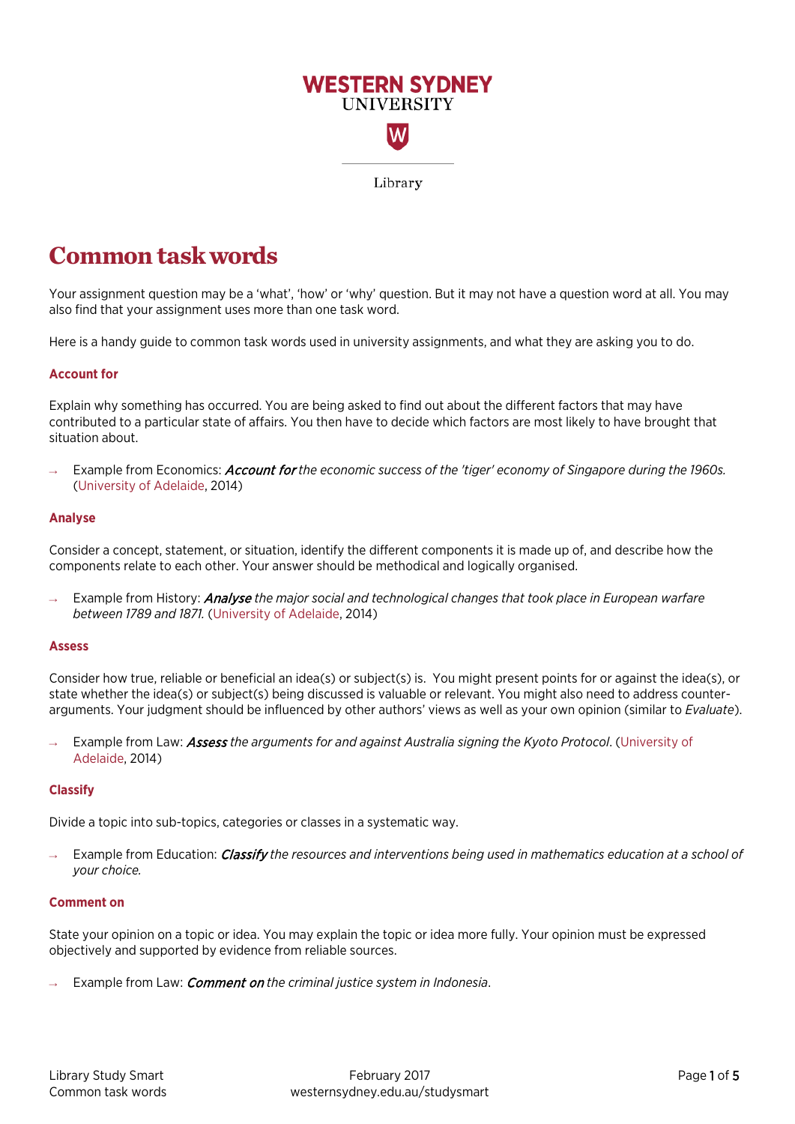

# **Common task words**

Your assignment question may be a 'what', 'how' or 'why' question. But it may not have a question word at all. You may also find that your assignment uses more than one task word.

Here is a handy guide to common task words used in university assignments, and what they are asking you to do.

# **Account for**

Explain why something has occurred. You are being asked to find out about the different factors that may have contributed to a particular state of affairs. You then have to decide which factors are most likely to have brought that situation about.

Example from Economics: **Account for** the economic success of the 'tiger' economy of Singapore during the 1960s. [\(University of Adelaide,](https://www.adelaide.edu.au/writingcentre/docs/learningguide-assignmentdirectives.pdf) 2014)

# **Analyse**

Consider a concept, statement, or situation, identify the different components it is made up of, and describe how the components relate to each other. Your answer should be methodical and logically organised.

Example from History: **Analyse** the major social and technological changes that took place in European warfare *between 1789 and 1871.* [\(University of Adelaide,](https://www.adelaide.edu.au/writingcentre/docs/learningguide-assignmentdirectives.pdf) 2014)

# **Assess**

Consider how true, reliable or beneficial an idea(s) or subject(s) is. You might present points for or against the idea(s), or state whether the idea(s) or subject(s) being discussed is valuable or relevant. You might also need to address counterarguments. Your judgment should be influenced by other authors' views as well as your own opinion (similar to *Evaluate*).

Example from Law: **Assess** the arguments for and against Australia signing the Kyoto Protocol. [\(University of](https://www.adelaide.edu.au/writingcentre/learning_guides/learningGuide_assignmentDirectives.pdf) [Adelaide,](https://www.adelaide.edu.au/writingcentre/docs/learningguide-assignmentdirectives.pdf) 2014)

# **Classify**

Divide a topic into sub-topics, categories or classes in a systematic way.

Example from Education: *Classify the resources and interventions being used in mathematics education at a school of your choice.*

# **Comment on**

State your opinion on a topic or idea. You may explain the topic or idea more fully. Your opinion must be expressed objectively and supported by evidence from reliable sources.

Example from Law: *Comment on the criminal justice system in Indonesia*.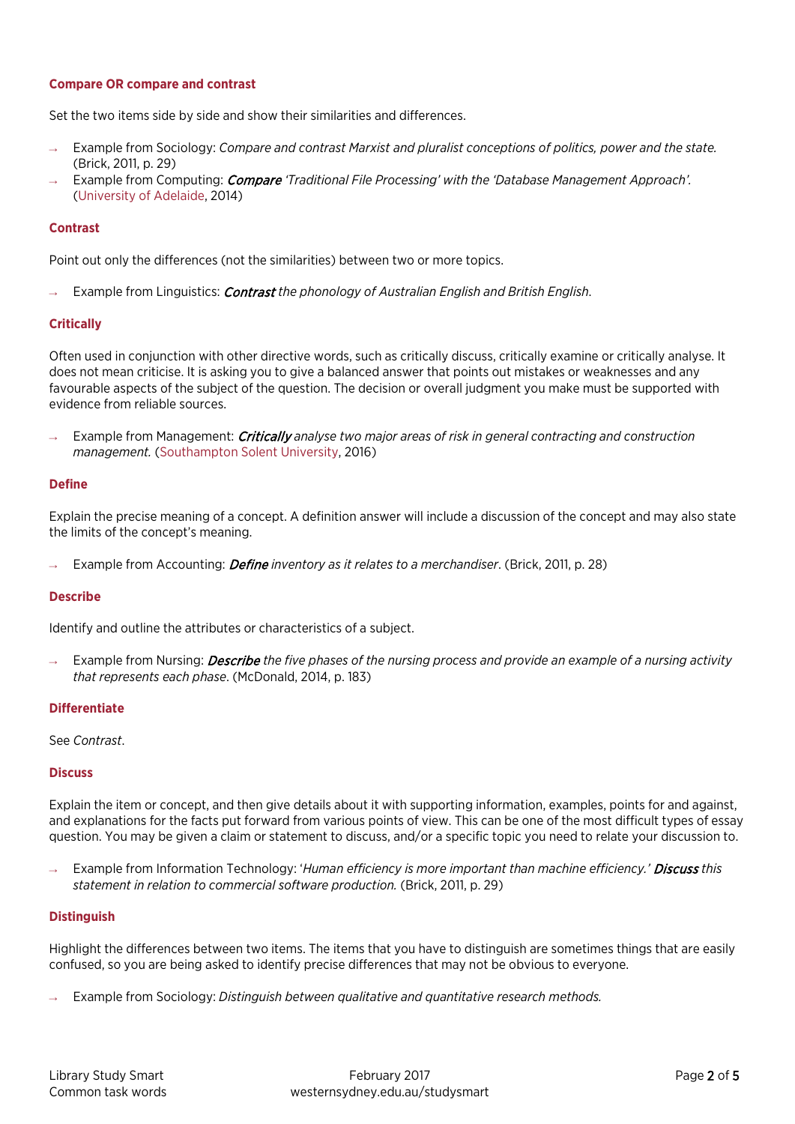# **Compare OR compare and contrast**

Set the two items side by side and show their similarities and differences.

- Example from Sociology: *Compare and contrast Marxist and pluralist conceptions of politics, power and the state.* (Brick, 2011, p. 29)
- Example from Computing: *Compare 'Traditional File Processing' with the 'Database Management Approach'.* [\(University of Adelaide,](https://www.adelaide.edu.au/writingcentre/docs/learningguide-assignmentdirectives.pdf) 2014)

# **Contrast**

Point out only the differences (not the similarities) between two or more topics.

→ Example from Linguistics: Contrast *the phonology of Australian English and British English*.

# **Critically**

Often used in conjunction with other directive words, such as critically discuss, critically examine or critically analyse. It does not mean criticise. It is asking you to give a balanced answer that points out mistakes or weaknesses and any favourable aspects of the subject of the question. The decision or overall judgment you make must be supported with evidence from reliable sources.

Example from Management: *Critically analyse two major areas of risk in general contracting and construction management.* [\(Southampton Solent University,](http://learn.solent.ac.uk/mod/book/view.php?id=2735&chapterid=1154) 2016)

## **Define**

Explain the precise meaning of a concept. A definition answer will include a discussion of the concept and may also state the limits of the concept's meaning.

Example from Accounting: *Define inventory as it relates to a merchandiser*. (Brick, 2011, p. 28)

## **Describe**

Identify and outline the attributes or characteristics of a subject.

Example from Nursing: *Describe* the five phases of the nursing process and provide an example of a nursing activity *that represents each phase*. (McDonald, 2014, p. 183)

## **Differentiate**

## See *Contrast*.

## **Discuss**

Explain the item or concept, and then give details about it with supporting information, examples, points for and against, and explanations for the facts put forward from various points of view. This can be one of the most difficult types of essay question. You may be given a claim or statement to discuss, and/or a specific topic you need to relate your discussion to.

Example from Information Technology: 'Human efficiency is more important than machine efficiency.' Discuss this *statement in relation to commercial software production.* (Brick, 2011, p. 29)

## **Distinguish**

Highlight the differences between two items. The items that you have to distinguish are sometimes things that are easily confused, so you are being asked to identify precise differences that may not be obvious to everyone.

Example from Sociology: *Distinguish between qualitative and quantitative research methods.*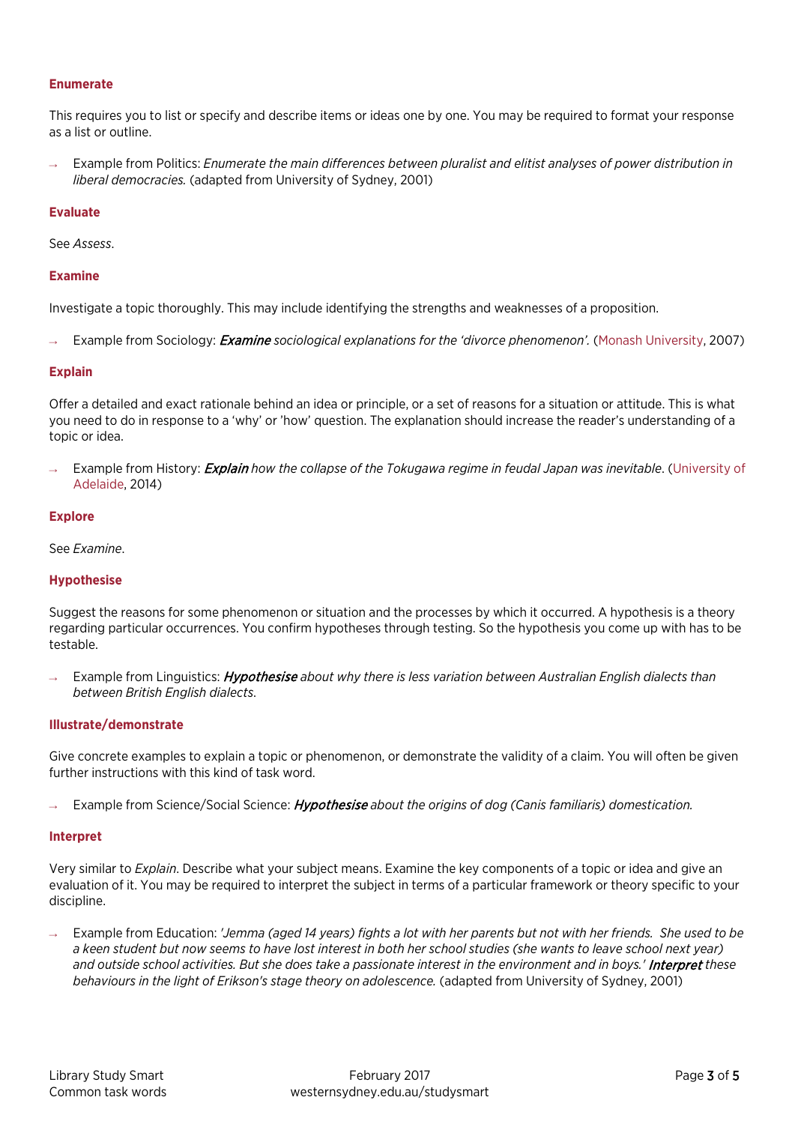# **Enumerate**

This requires you to list or specify and describe items or ideas one by one. You may be required to format your response as a list or outline.

Example from Politics: *Enumerate the main differences between pluralist and elitist analyses of power distribution in liberal democracies.* (adapted from University of Sydney, 2001)

## **Evaluate**

See *Assess*.

# **Examine**

Investigate a topic thoroughly. This may include identifying the strengths and weaknesses of a proposition.

Example from Sociology: *Examine* sociological explanations for the 'divorce phenomenon'. [\(Monash University,](http://www.monash.edu.au/lls/llonline/writing/general/essay/sample-essay/index.xml) 2007)

## **Explain**

Offer a detailed and exact rationale behind an idea or principle, or a set of reasons for a situation or attitude. This is what you need to do in response to a 'why' or 'how' question. The explanation should increase the reader's understanding of a topic or idea.

Example from History: **Explain** how the collapse of the Tokugawa regime in feudal Japan was inevitable. [\(University of](https://www.adelaide.edu.au/writingcentre/learning_guides/learningGuide_assignmentDirectives.pdf) [Adelaide,](https://www.adelaide.edu.au/writingcentre/docs/learningguide-assignmentdirectives.pdf) 2014)

## **Explore**

## See *Examine*.

# **Hypothesise**

Suggest the reasons for some phenomenon or situation and the processes by which it occurred. A hypothesis is a theory regarding particular occurrences. You confirm hypotheses through testing. So the hypothesis you come up with has to be testable.

Example from Linguistics: Hypothesise about why there is less variation between Australian English dialects than *between British English dialects*.

# **Illustrate/demonstrate**

Give concrete examples to explain a topic or phenomenon, or demonstrate the validity of a claim. You will often be given further instructions with this kind of task word.

Example from Science/Social Science: *Hypothesise* about the origins of dog (Canis familiaris) domestication.

## **Interpret**

Very similar to *Explain*. Describe what your subject means. Examine the key components of a topic or idea and give an evaluation of it. You may be required to interpret the subject in terms of a particular framework or theory specific to your discipline.

Example from Education: *'Jemma (aged 14 years) fights a lot with her parents but not with her friends. She used to be a keen student but now seems to have lost interest in both her school studies (she wants to leave school next year) and outside school activities. But she does take a passionate interest in the environment and in boys.'* Interpret *these behaviours in the light of Erikson's stage theory on adolescence.* (adapted from University of Sydney, 2001)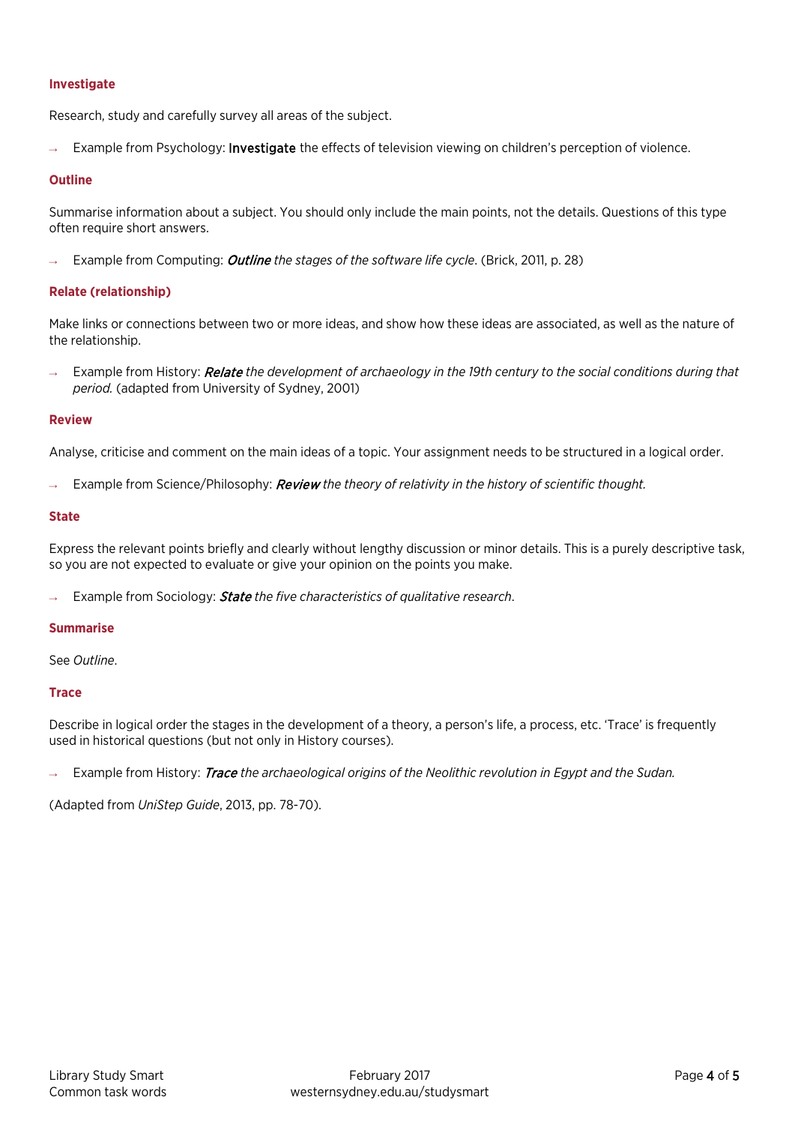# **Investigate**

Research, study and carefully survey all areas of the subject.

Example from Psychology: Investigate the effects of television viewing on children's perception of violence.

# **Outline**

Summarise information about a subject. You should only include the main points, not the details. Questions of this type often require short answers.

Example from Computing: *Outline the stages of the software life cycle*. (Brick, 2011, p. 28)

# **Relate (relationship)**

Make links or connections between two or more ideas, and show how these ideas are associated, as well as the nature of the relationship.

Example from History: Relate the development of archaeology in the 19th century to the social conditions during that *period.* (adapted from University of Sydney, 2001)

## **Review**

Analyse, criticise and comment on the main ideas of a topic. Your assignment needs to be structured in a logical order.

Example from Science/Philosophy: Review the theory of relativity in the history of scientific thought.

## **State**

Express the relevant points briefly and clearly without lengthy discussion or minor details. This is a purely descriptive task, so you are not expected to evaluate or give your opinion on the points you make.

Example from Sociology: **State** the five characteristics of qualitative research.

## **Summarise**

See *Outline*.

## **Trace**

Describe in logical order the stages in the development of a theory, a person's life, a process, etc. 'Trace' is frequently used in historical questions (but not only in History courses).

Example from History: Trace the archaeological origins of the Neolithic revolution in Egypt and the Sudan.

(Adapted from *UniStep Guide*, 2013, pp. 78-70).